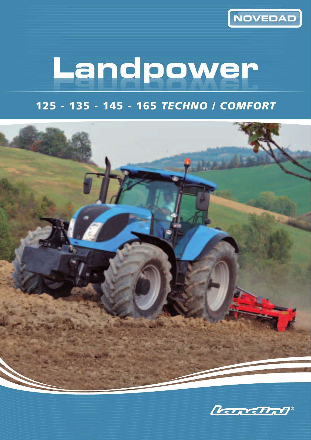

## **Landpower**

125 - 135 - 145 - 165 *TECHNO / COMFORT*